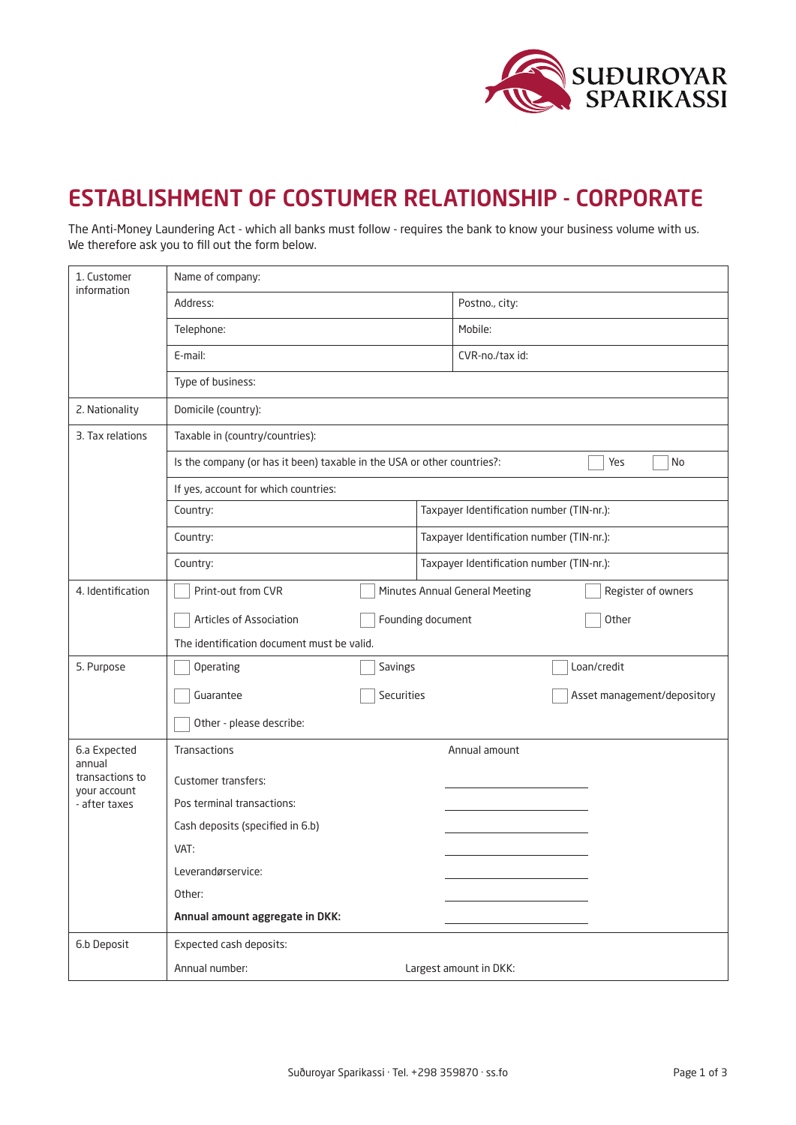

## ESTABLISHMENT OF COSTUMER RELATIONSHIP - CORPORATE

The Anti-Money Laundering Act - which all banks must follow - requires the bank to know your business volume with us. We therefore ask you to fill out the form below.

| 1. Customer<br>information                                                 | Name of company:                                                                     |                                           |  |  |
|----------------------------------------------------------------------------|--------------------------------------------------------------------------------------|-------------------------------------------|--|--|
|                                                                            | Address:                                                                             | Postno., city:                            |  |  |
|                                                                            | Telephone:                                                                           | Mobile:                                   |  |  |
|                                                                            | E-mail:                                                                              | CVR-no./tax id:                           |  |  |
|                                                                            | Type of business:                                                                    |                                           |  |  |
| 2. Nationality                                                             | Domicile (country):                                                                  |                                           |  |  |
| 3. Tax relations                                                           | Taxable in (country/countries):                                                      |                                           |  |  |
|                                                                            | Is the company (or has it been) taxable in the USA or other countries?:<br>Yes<br>No |                                           |  |  |
|                                                                            | If yes, account for which countries:                                                 |                                           |  |  |
|                                                                            | Country:                                                                             | Taxpayer Identification number (TIN-nr.): |  |  |
|                                                                            | Country:                                                                             | Taxpayer Identification number (TIN-nr.): |  |  |
|                                                                            | Country:                                                                             | Taxpayer Identification number (TIN-nr.): |  |  |
| 4. Identification                                                          | Print-out from CVR<br>Minutes Annual General Meeting<br>Register of owners           |                                           |  |  |
|                                                                            | Articles of Association                                                              | Founding document<br>Other                |  |  |
|                                                                            | The identification document must be valid.                                           |                                           |  |  |
| 5. Purpose                                                                 | Operating<br>Savings                                                                 | Loan/credit                               |  |  |
|                                                                            | Securities<br>Guarantee                                                              | Asset management/depository               |  |  |
|                                                                            | Other - please describe:                                                             |                                           |  |  |
| 6.a Expected<br>annual<br>transactions to<br>your account<br>- after taxes | Transactions                                                                         | Annual amount                             |  |  |
|                                                                            | <b>Customer transfers:</b>                                                           |                                           |  |  |
|                                                                            | Pos terminal transactions:                                                           |                                           |  |  |
|                                                                            | Cash deposits (specified in 6.b)                                                     |                                           |  |  |
|                                                                            | VAT:                                                                                 |                                           |  |  |
|                                                                            | Leverandørservice:                                                                   |                                           |  |  |
|                                                                            | Other:                                                                               |                                           |  |  |
|                                                                            | Annual amount aggregate in DKK:                                                      |                                           |  |  |
| 6.b Deposit                                                                | Expected cash deposits:                                                              |                                           |  |  |
|                                                                            | Annual number:                                                                       | Largest amount in DKK:                    |  |  |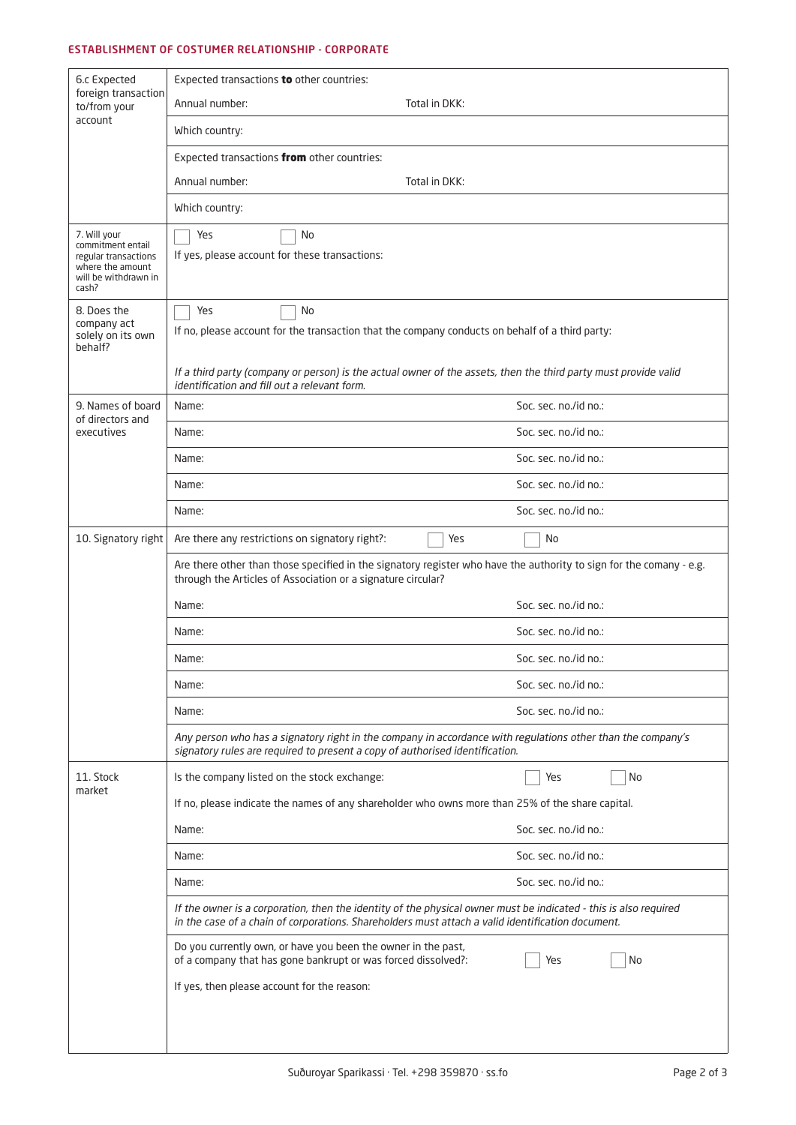## ESTABLISHMENT OF COSTUMER RELATIONSHIP - CORPORATE

| 6.c Expected<br>foreign transaction<br>to/from your                                                            | Expected transactions to other countries:                                                                                                                                                                             |                       |  |
|----------------------------------------------------------------------------------------------------------------|-----------------------------------------------------------------------------------------------------------------------------------------------------------------------------------------------------------------------|-----------------------|--|
|                                                                                                                | Annual number:                                                                                                                                                                                                        | Total in DKK:         |  |
| account                                                                                                        | Which country:                                                                                                                                                                                                        |                       |  |
|                                                                                                                | Expected transactions from other countries:                                                                                                                                                                           |                       |  |
|                                                                                                                | Annual number:                                                                                                                                                                                                        | Total in DKK:         |  |
|                                                                                                                | Which country:                                                                                                                                                                                                        |                       |  |
| 7. Will your<br>commitment entail<br>regular transactions<br>where the amount<br>will be withdrawn in<br>cash? | Yes<br>No<br>If yes, please account for these transactions:                                                                                                                                                           |                       |  |
| 8. Does the<br>company act<br>solely on its own<br>behalf?                                                     | No<br>Yes<br>If no, please account for the transaction that the company conducts on behalf of a third party:                                                                                                          |                       |  |
|                                                                                                                | If a third party (company or person) is the actual owner of the assets, then the third party must provide valid<br>identification and fill out a relevant form.                                                       |                       |  |
| 9. Names of board<br>of directors and                                                                          | Name:                                                                                                                                                                                                                 | Soc. sec. no./id no.: |  |
| executives                                                                                                     | Name:                                                                                                                                                                                                                 | Soc. sec. no./id no.: |  |
|                                                                                                                | Name:                                                                                                                                                                                                                 | Soc. sec. no./id no.: |  |
|                                                                                                                | Name:                                                                                                                                                                                                                 | Soc. sec. no./id no.: |  |
|                                                                                                                | Name:                                                                                                                                                                                                                 | Soc. sec. no./id no.: |  |
| 10. Signatory right                                                                                            | Are there any restrictions on signatory right?:                                                                                                                                                                       | Yes<br>No             |  |
|                                                                                                                | Are there other than those specified in the signatory register who have the authority to sign for the comany - e.g.<br>through the Articles of Association or a signature circular?                                   |                       |  |
|                                                                                                                | Name:                                                                                                                                                                                                                 | Soc. sec. no./id no.: |  |
|                                                                                                                | Name:                                                                                                                                                                                                                 | Soc. sec. no./id no.: |  |
|                                                                                                                | Name:                                                                                                                                                                                                                 | Soc. sec. no./id no.: |  |
|                                                                                                                | Name:                                                                                                                                                                                                                 | Soc. sec. no./id no.: |  |
|                                                                                                                | Name:                                                                                                                                                                                                                 | Soc. sec. no./id no.: |  |
|                                                                                                                | Any person who has a signatory right in the company in accordance with regulations other than the company's<br>signatory rules are required to present a copy of authorised identification.                           |                       |  |
| 11. Stock<br>market                                                                                            | Is the company listed on the stock exchange:                                                                                                                                                                          | Yes<br>No             |  |
|                                                                                                                | If no, please indicate the names of any shareholder who owns more than 25% of the share capital.                                                                                                                      |                       |  |
|                                                                                                                | Name:                                                                                                                                                                                                                 | Soc. sec. no./id no.: |  |
|                                                                                                                | Name:                                                                                                                                                                                                                 | Soc. sec. no./id no.: |  |
|                                                                                                                | Name:                                                                                                                                                                                                                 | Soc. sec. no./id no.: |  |
|                                                                                                                | If the owner is a corporation, then the identity of the physical owner must be indicated - this is also required<br>in the case of a chain of corporations. Shareholders must attach a valid identification document. |                       |  |
|                                                                                                                | Do you currently own, or have you been the owner in the past,<br>of a company that has gone bankrupt or was forced dissolved?:                                                                                        | Yes<br>No             |  |
|                                                                                                                | If yes, then please account for the reason:                                                                                                                                                                           |                       |  |
|                                                                                                                |                                                                                                                                                                                                                       |                       |  |